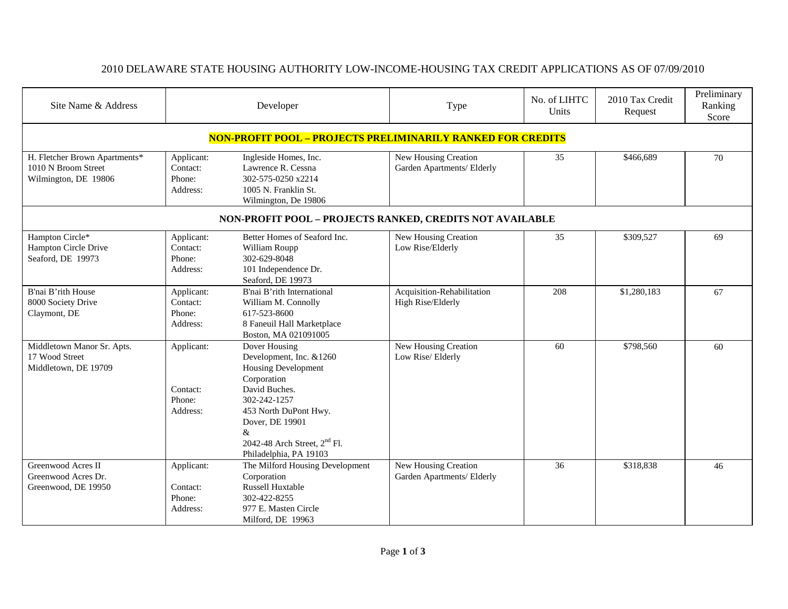## 2010 DELAWARE STATE HOUSING AUTHORITY LOW-INCOME-HOUSING TAX CREDIT APPLICATIONS AS OF 07/09/2010

| Site Name & Address                                                          | Developer                                    |                                                                                                                                                                                                                                               | Type                                               | No. of LIHTC<br>Units | 2010 Tax Credit<br>Request | Preliminary<br>Ranking<br>Score |  |  |
|------------------------------------------------------------------------------|----------------------------------------------|-----------------------------------------------------------------------------------------------------------------------------------------------------------------------------------------------------------------------------------------------|----------------------------------------------------|-----------------------|----------------------------|---------------------------------|--|--|
| <b>NON-PROFIT POOL - PROJECTS PRELIMINARILY RANKED FOR CREDITS</b>           |                                              |                                                                                                                                                                                                                                               |                                                    |                       |                            |                                 |  |  |
| H. Fletcher Brown Apartments*<br>1010 N Broom Street<br>Wilmington, DE 19806 | Applicant:<br>Contact:<br>Phone:<br>Address: | Ingleside Homes, Inc.<br>Lawrence R. Cessna<br>302-575-0250 x2214<br>1005 N. Franklin St.<br>Wilmington, De 19806                                                                                                                             | New Housing Creation<br>Garden Apartments/ Elderly | 35                    | \$466,689                  | 70                              |  |  |
| NON-PROFIT POOL - PROJECTS RANKED, CREDITS NOT AVAILABLE                     |                                              |                                                                                                                                                                                                                                               |                                                    |                       |                            |                                 |  |  |
| Hampton Circle*<br>Hampton Circle Drive<br>Seaford, DE 19973                 | Applicant:<br>Contact:<br>Phone:<br>Address: | Better Homes of Seaford Inc.<br>William Roupp<br>302-629-8048<br>101 Independence Dr.<br>Seaford, DE 19973                                                                                                                                    | New Housing Creation<br>Low Rise/Elderly           | 35                    | \$309,527                  | 69                              |  |  |
| B'nai B'rith House<br>8000 Society Drive<br>Claymont, DE                     | Applicant:<br>Contact:<br>Phone:<br>Address: | B'nai B'rith International<br>William M. Connolly<br>617-523-8600<br>8 Faneuil Hall Marketplace<br>Boston, MA 021091005                                                                                                                       | Acquisition-Rehabilitation<br>High Rise/Elderly    | 208                   | \$1,280,183                | 67                              |  |  |
| Middletown Manor Sr. Apts.<br>17 Wood Street<br>Middletown, DE 19709         | Applicant:<br>Contact:<br>Phone:<br>Address: | Dover Housing<br>Development, Inc. &1260<br><b>Housing Development</b><br>Corporation<br>David Buches.<br>302-242-1257<br>453 North DuPont Hwy.<br>Dover, DE 19901<br>&<br>2042-48 Arch Street, 2 <sup>nd</sup> Fl.<br>Philadelphia, PA 19103 | New Housing Creation<br>Low Rise/Elderly           | 60                    | \$798,560                  | 60                              |  |  |
| Greenwood Acres II<br>Greenwood Acres Dr.<br>Greenwood, DE 19950             | Applicant:<br>Contact:<br>Phone:<br>Address: | The Milford Housing Development<br>Corporation<br>Russell Huxtable<br>302-422-8255<br>977 E. Masten Circle<br>Milford, DE 19963                                                                                                               | New Housing Creation<br>Garden Apartments/ Elderly | 36                    | \$318,838                  | 46                              |  |  |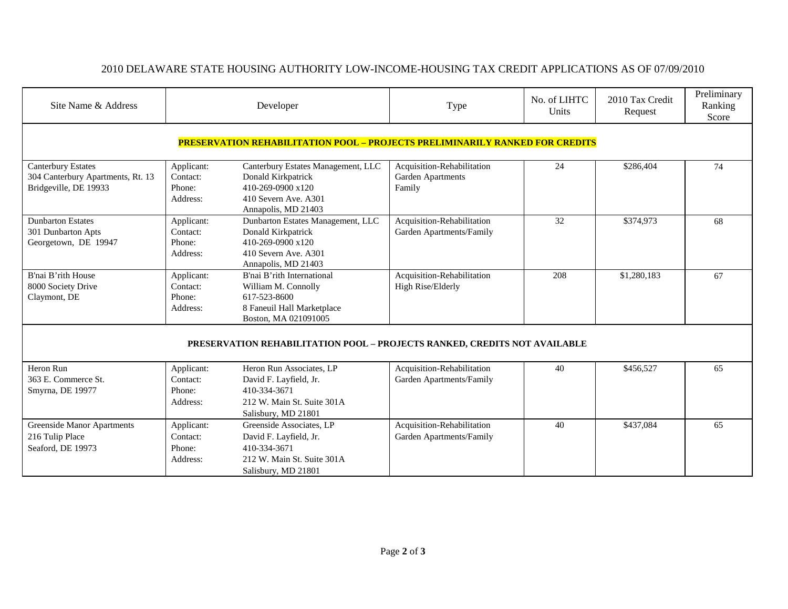## 2010 DELAWARE STATE HOUSING AUTHORITY LOW-INCOME-HOUSING TAX CREDIT APPLICATIONS AS OF 07/09/2010

| Site Name & Address                                                                     | Developer                                    |                                                                                                                              | Type                                                      | No. of LIHTC<br>Units | 2010 Tax Credit<br>Request | Preliminary<br>Ranking<br>Score |  |  |
|-----------------------------------------------------------------------------------------|----------------------------------------------|------------------------------------------------------------------------------------------------------------------------------|-----------------------------------------------------------|-----------------------|----------------------------|---------------------------------|--|--|
|                                                                                         |                                              | <u> PRESERVATION REHABILITATION POOL – PROJECTS PRELIMINARILY RANKED FOR CREDITS</u>                                         |                                                           |                       |                            |                                 |  |  |
| <b>Canterbury Estates</b><br>304 Canterbury Apartments, Rt. 13<br>Bridgeville, DE 19933 | Applicant:<br>Contact:<br>Phone:<br>Address: | Canterbury Estates Management, LLC<br>Donald Kirkpatrick<br>410-269-0900 x120<br>410 Severn Ave. A301<br>Annapolis, MD 21403 | Acquisition-Rehabilitation<br>Garden Apartments<br>Family | 24                    | \$286,404                  | 74                              |  |  |
| <b>Dunbarton Estates</b><br>301 Dunbarton Apts<br>Georgetown, DE 19947                  | Applicant:<br>Contact:<br>Phone:<br>Address: | Dunbarton Estates Management, LLC<br>Donald Kirkpatrick<br>410-269-0900 x120<br>410 Severn Ave. A301<br>Annapolis, MD 21403  | Acquisition-Rehabilitation<br>Garden Apartments/Family    | 32                    | \$374,973                  | 68                              |  |  |
| B'nai B'rith House<br>8000 Society Drive<br>Claymont, DE                                | Applicant:<br>Contact:<br>Phone:<br>Address: | B'nai B'rith International<br>William M. Connolly<br>617-523-8600<br>8 Faneuil Hall Marketplace<br>Boston, MA 021091005      | Acquisition-Rehabilitation<br>High Rise/Elderly           | 208                   | \$1,280,183                | 67                              |  |  |
| PRESERVATION REHABILITATION POOL - PROJECTS RANKED, CREDITS NOT AVAILABLE               |                                              |                                                                                                                              |                                                           |                       |                            |                                 |  |  |
| Heron Run<br>363 E. Commerce St.<br>Smyrna, DE 19977                                    | Applicant:<br>Contact:<br>Phone:<br>Address: | Heron Run Associates, LP<br>David F. Layfield, Jr.<br>410-334-3671<br>212 W. Main St. Suite 301A<br>Salisbury, MD 21801      | Acquisition-Rehabilitation<br>Garden Apartments/Family    | 40                    | \$456,527                  | 65                              |  |  |
| <b>Greenside Manor Apartments</b><br>216 Tulip Place<br>Seaford, DE 19973               | Applicant:<br>Contact:<br>Phone:<br>Address: | Greenside Associates, LP<br>David F. Layfield, Jr.<br>410-334-3671<br>212 W. Main St. Suite 301A<br>Salisbury, MD 21801      | Acquisition-Rehabilitation<br>Garden Apartments/Family    | 40                    | \$437,084                  | 65                              |  |  |